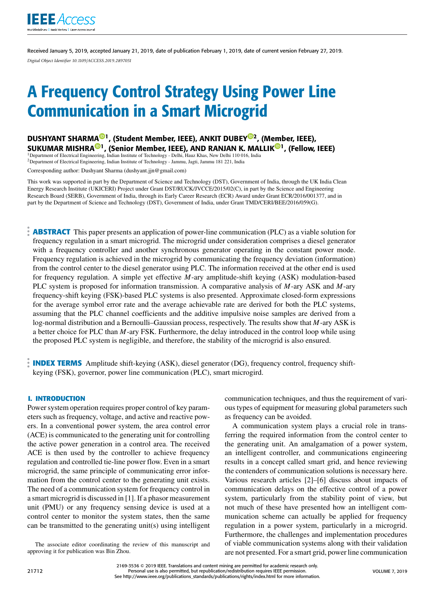

Received January 5, 2019, accepted January 21, 2019, date of publication February 1, 2019, date of current version February 27, 2019. *Digital Object Identifier 10.1109/ACCESS.2019.2897051*

# A Frequency Control Strategy Using Power Line Communication in a Smart Microgrid

DUSHYANT SHARMA<sup>©1</sup>, (Student Member, IEEE), ANKIT DUBEY<sup>©2</sup>, (Member, IEEE), SUKUMAR MISHRA®1, (Senior Member, IEEE), AND RANJAN K. MALLIK®1, (Fellow, IEEE)

<sup>1</sup>Department of Electrical Engineering, Indian Institute of Technology - Delhi, Hauz Khas, New Delhi 110 016, India <sup>2</sup>Department of Electrical Engineering, Indian Institute of Technology - Jammu, Jagti, Jammu 181 221, India

Corresponding author: Dushyant Sharma (dushyant.jjn@gmail.com)

This work was supported in part by the Department of Science and Technology (DST), Government of India, through the UK India Clean Energy Research Institute (UKICERI) Project under Grant DST/RUCK/JVCCE/2015/02(C), in part by the Science and Engineering Research Board (SERB), Government of India, through its Early Career Research (ECR) Award under Grant ECR/2016/001377, and in part by the Department of Science and Technology (DST), Government of India, under Grant TMD/CERI/BEE/2016/059(G).

**ABSTRACT** This paper presents an application of power-line communication (PLC) as a viable solution for frequency regulation in a smart microgrid. The microgrid under consideration comprises a diesel generator with a frequency controller and another synchronous generator operating in the constant power mode. Frequency regulation is achieved in the microgrid by communicating the frequency deviation (information) from the control center to the diesel generator using PLC. The information received at the other end is used for frequency regulation. A simple yet effective *M*-ary amplitude-shift keying (ASK) modulation-based PLC system is proposed for information transmission. A comparative analysis of *M*-ary ASK and *M*-ary frequency-shift keying (FSK)-based PLC systems is also presented. Approximate closed-form expressions for the average symbol error rate and the average achievable rate are derived for both the PLC systems, assuming that the PLC channel coefficients and the additive impulsive noise samples are derived from a log-normal distribution and a Bernoulli–Gaussian process, respectively. The results show that *M*-ary ASK is a better choice for PLC than *M*-ary FSK. Furthermore, the delay introduced in the control loop while using the proposed PLC system is negligible, and therefore, the stability of the microgrid is also ensured.

**INDEX TERMS** Amplitude shift-keying (ASK), diesel generator (DG), frequency control, frequency shiftkeying (FSK), governor, power line communication (PLC), smart microgird.

#### **I. INTRODUCTION**

Power system operation requires proper control of key parameters such as frequency, voltage, and active and reactive powers. In a conventional power system, the area control error (ACE) is communicated to the generating unit for controlling the active power generation in a control area. The received ACE is then used by the controller to achieve frequency regulation and controlled tie-line power flow. Even in a smart microgrid, the same principle of communicating error information from the control center to the generating unit exists. The need of a communication system for frequency control in a smart microgrid is discussed in [1]. If a phasor measurement unit (PMU) or any frequency sensing device is used at a control center to monitor the system states, then the same can be transmitted to the generating unit(s) using intelligent

The associate editor coordinating the review of this manuscript and approving it for publication was Bin Zhou.

communication techniques, and thus the requirement of various types of equipment for measuring global parameters such as frequency can be avoided.

A communication system plays a crucial role in transferring the required information from the control center to the generating unit. An amalgamation of a power system, an intelligent controller, and communications engineering results in a concept called smart grid, and hence reviewing the contenders of communication solutions is necessary here. Various research articles [2]–[6] discuss about impacts of communication delays on the effective control of a power system, particularly from the stability point of view, but not much of these have presented how an intelligent communication scheme can actually be applied for frequency regulation in a power system, particularly in a microgrid. Furthermore, the challenges and implementation procedures of viable communication systems along with their validation are not presented. For a smart grid, power line communication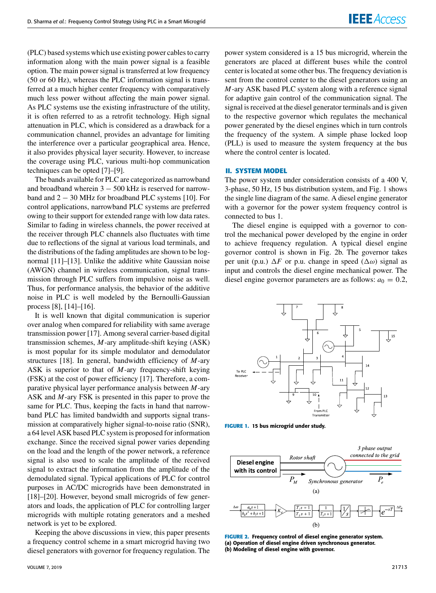(PLC) based systems which use existing power cables to carry information along with the main power signal is a feasible option. The main power signal is transferred at low frequency (50 or 60 Hz), whereas the PLC information signal is transferred at a much higher center frequency with comparatively much less power without affecting the main power signal. As PLC systems use the existing infrastructure of the utility, it is often referred to as a retrofit technology. High signal attenuation in PLC, which is considered as a drawback for a communication channel, provides an advantage for limiting the interference over a particular geographical area. Hence, it also provides physical layer security. However, to increase the coverage using PLC, various multi-hop communication techniques can be opted [7]–[9].

The bands available for PLC are categorized as narrowband and broadband wherein  $3 - 500$  kHz is reserved for narrowband and 2 − 30 MHz for broadband PLC systems [10]. For control applications, narrowband PLC systems are preferred owing to their support for extended range with low data rates. Similar to fading in wireless channels, the power received at the receiver through PLC channels also fluctuates with time due to reflections of the signal at various load terminals, and the distributions of the fading amplitudes are shown to be lognormal [11]–[13]. Unlike the additive white Gaussian noise (AWGN) channel in wireless communication, signal transmission through PLC suffers from impulsive noise as well. Thus, for performance analysis, the behavior of the additive noise in PLC is well modeled by the Bernoulli-Gaussian process [8], [14]–[16].

It is well known that digital communication is superior over analog when compared for reliability with same average transmission power [17]. Among several carrier-based digital transmission schemes, *M*-ary amplitude-shift keying (ASK) is most popular for its simple modulator and demodulator structures [18]. In general, bandwidth efficiency of *M*-ary ASK is superior to that of *M*-ary frequency-shift keying (FSK) at the cost of power efficiency [17]. Therefore, a comparative physical layer performance analysis between *M*-ary ASK and *M*-ary FSK is presented in this paper to prove the same for PLC. Thus, keeping the facts in hand that narrowband PLC has limited bandwidth and supports signal transmission at comparatively higher signal-to-noise ratio (SNR), a 64 level ASK based PLC system is proposed for information exchange. Since the received signal power varies depending on the load and the length of the power network, a reference signal is also used to scale the amplitude of the received signal to extract the information from the amplitude of the demodulated signal. Typical applications of PLC for control purposes in AC/DC microgrids have been demonstrated in [18]–[20]. However, beyond small microgrids of few generators and loads, the application of PLC for controlling larger microgrids with multiple rotating generators and a meshed network is yet to be explored.

Keeping the above discussions in view, this paper presents a frequency control scheme in a smart microgrid having two diesel generators with governor for frequency regulation. The power system considered is a 15 bus microgrid, wherein the generators are placed at different buses while the control center is located at some other bus. The frequency deviation is sent from the control center to the diesel generators using an *M*-ary ASK based PLC system along with a reference signal for adaptive gain control of the communication signal. The signal is received at the diesel generator terminals and is given to the respective governor which regulates the mechanical power generated by the diesel engines which in turn controls the frequency of the system. A simple phase locked loop (PLL) is used to measure the system frequency at the bus where the control center is located.

#### **II. SYSTEM MODEL**

The power system under consideration consists of a 400 V, 3-phase, 50 Hz, 15 bus distribution system, and Fig. 1 shows the single line diagram of the same. A diesel engine generator with a governor for the power system frequency control is connected to bus 1.

The diesel engine is equipped with a governor to control the mechanical power developed by the engine in order to achieve frequency regulation. A typical diesel engine governor control is shown in Fig. 2b. The governor takes per unit (p.u.)  $\Delta F$  or p.u. change in speed ( $\Delta \omega$ ) signal as input and controls the diesel engine mechanical power. The diesel engine governor parameters are as follows:  $a_0 = 0.2$ ,



**FIGURE 1.** 15 bus microgrid under study.



**FIGURE 2.** Frequency control of diesel engine generator system. (a) Operation of diesel engine driven synchronous generator. (b) Modeling of diesel engine with governor.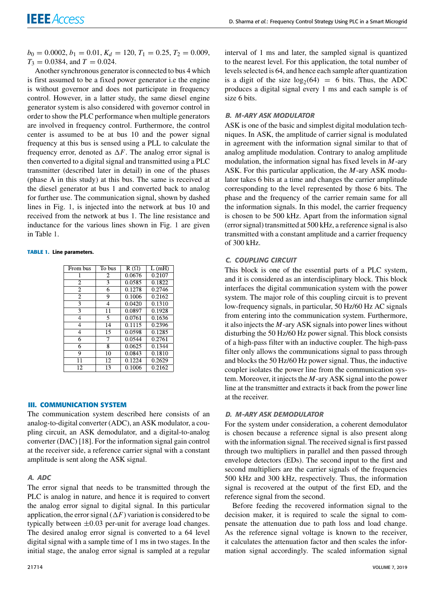$b_0 = 0.0002, b_1 = 0.01, K_d = 120, T_1 = 0.25, T_2 = 0.009,$  $T_3 = 0.0384$ , and  $T = 0.024$ .

Another synchronous generator is connected to bus 4 which is first assumed to be a fixed power generator i.e the engine is without governor and does not participate in frequency control. However, in a latter study, the same diesel engine generator system is also considered with governor control in order to show the PLC performance when multiple generators are involved in frequency control. Furthermore, the control center is assumed to be at bus 10 and the power signal frequency at this bus is sensed using a PLL to calculate the frequency error, denoted as  $\Delta F$ . The analog error signal is then converted to a digital signal and transmitted using a PLC transmitter (described later in detail) in one of the phases (phase A in this study) at this bus. The same is received at the diesel generator at bus 1 and converted back to analog for further use. The communication signal, shown by dashed lines in Fig. 1, is injected into the network at bus 10 and received from the network at bus 1. The line resistance and inductance for the various lines shown in Fig. 1 are given in Table 1.

#### **TABLE 1.** Line parameters.

| From bus       | To bus          | $R(\Omega)$ | L(mH)  |
|----------------|-----------------|-------------|--------|
|                |                 |             |        |
|                | $\overline{c}$  | 0.0676      | 0.2107 |
| 2              | 3               | 0.0585      | 0.1822 |
| $\overline{2}$ | 6               | 0.1278      | 0.2746 |
| $\overline{2}$ | 9               | 0.1006      | 0.2162 |
| 3              | 4               | 0.0420      | 0.1310 |
| 3              | 11              | 0.0897      | 0.1928 |
| 4              | 5               | 0.0761      | 0.1636 |
| $\overline{4}$ | $\overline{14}$ | 0.1115      | 0.2396 |
| 4              | 15              | 0.0598      | 0.1285 |
| 6              | 7               | 0.0544      | 0.2761 |
| 6              | 8               | 0.0625      | 0.1344 |
| 9              | 10              | 0.0843      | 0.1810 |
| 11             | $\overline{12}$ | 0.1224      | 0.2629 |
| 12.            | 13              | 0.1006      | 0.2162 |

#### **III. COMMUNICATION SYSTEM**

The communication system described here consists of an analog-to-digital converter (ADC), an ASK modulator, a coupling circuit, an ASK demodulator, and a digital-to-analog converter (DAC) [18]. For the information signal gain control at the receiver side, a reference carrier signal with a constant amplitude is sent along the ASK signal.

#### *A. ADC*

The error signal that needs to be transmitted through the PLC is analog in nature, and hence it is required to convert the analog error signal to digital signal. In this particular application, the error signal  $(\Delta F)$  variation is considered to be typically between  $\pm 0.03$  per-unit for average load changes. The desired analog error signal is converted to a 64 level digital signal with a sample time of 1 ms in two stages. In the initial stage, the analog error signal is sampled at a regular

interval of 1 ms and later, the sampled signal is quantized to the nearest level. For this application, the total number of levels selected is 64, and hence each sample after quantization is a digit of the size  $log_2(64) = 6$  bits. Thus, the ADC produces a digital signal every 1 ms and each sample is of size 6 bits.

#### *B. M-ARY ASK MODULATOR*

ASK is one of the basic and simplest digital modulation techniques. In ASK, the amplitude of carrier signal is modulated in agreement with the information signal similar to that of analog amplitude modulation. Contrary to analog amplitude modulation, the information signal has fixed levels in *M*-ary ASK. For this particular application, the *M*-ary ASK modulator takes 6 bits at a time and changes the carrier amplitude corresponding to the level represented by those 6 bits. The phase and the frequency of the carrier remain same for all the information signals. In this model, the carrier frequency is chosen to be 500 kHz. Apart from the information signal (error signal) transmitted at 500 kHz, a reference signal is also transmitted with a constant amplitude and a carrier frequency of 300 kHz.

#### *C. COUPLING CIRCUIT*

This block is one of the essential parts of a PLC system, and it is considered as an interdisciplinary block. This block interfaces the digital communication system with the power system. The major role of this coupling circuit is to prevent low-frequency signals, in particular, 50 Hz/60 Hz AC signals from entering into the communication system. Furthermore, it also injects the *M*-ary ASK signals into power lines without disturbing the 50 Hz/60 Hz power signal. This block consists of a high-pass filter with an inductive coupler. The high-pass filter only allows the communications signal to pass through and blocks the 50 Hz/60 Hz power signal. Thus, the inductive coupler isolates the power line from the communication system. Moreover, it injects the *M*-ary ASK signal into the power line at the transmitter and extracts it back from the power line at the receiver.

#### *D. M-ARY ASK DEMODULATOR*

For the system under consideration, a coherent demodulator is chosen because a reference signal is also present along with the information signal. The received signal is first passed through two multipliers in parallel and then passed through envelope detectors (EDs). The second input to the first and second multipliers are the carrier signals of the frequencies 500 kHz and 300 kHz, respectively. Thus, the information signal is recovered at the output of the first ED, and the reference signal from the second.

Before feeding the recovered information signal to the decision maker, it is required to scale the signal to compensate the attenuation due to path loss and load change. As the reference signal voltage is known to the receiver, it calculates the attenuation factor and then scales the information signal accordingly. The scaled information signal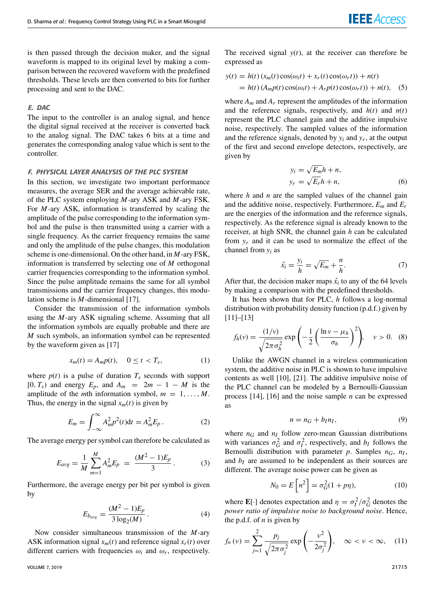is then passed through the decision maker, and the signal waveform is mapped to its original level by making a comparison between the recovered waveform with the predefined thresholds. These levels are then converted to bits for further processing and sent to the DAC.

#### *E. DAC*

The input to the controller is an analog signal, and hence the digital signal received at the receiver is converted back to the analog signal. The DAC takes 6 bits at a time and generates the corresponding analog value which is sent to the controller.

#### *F. PHYSICAL LAYER ANALYSIS OF THE PLC SYSTEM*

In this section, we investigate two important performance measures, the average SER and the average achievable rate, of the PLC system employing *M*-ary ASK and *M*-ary FSK. For *M*-ary ASK, information is transferred by scaling the amplitude of the pulse corresponding to the information symbol and the pulse is then transmitted using a carrier with a single frequency. As the carrier frequency remains the same and only the amplitude of the pulse changes, this modulation scheme is one-dimensional. On the other hand, in *M*-ary FSK, information is transferred by selecting one of *M* orthogonal carrier frequencies corresponding to the information symbol. Since the pulse amplitude remains the same for all symbol transmissions and the carrier frequency changes, this modulation scheme is *M*-dimensional [17].

Consider the transmission of the information symbols using the *M*-ary ASK signaling scheme. Assuming that all the information symbols are equally probable and there are *M* such symbols, an information symbol can be represented by the waveform given as [17]

$$
x_m(t) = A_m p(t), \quad 0 \le t < T_s,\tag{1}
$$

where  $p(t)$  is a pulse of duration  $T<sub>s</sub>$  seconds with support  $[0, T_s)$  and energy  $E_p$ , and  $A_m = 2m - 1 - M$  is the amplitude of the *m*th information symbol,  $m = 1, \ldots, M$ . Thus, the energy in the signal  $x_m(t)$  is given by

$$
E_m = \int_{-\infty}^{\infty} A_m^2 p^2(t) dt = A_m^2 E_p.
$$
 (2)

The average energy per symbol can therefore be calculated as

$$
E_{avg} = \frac{1}{M} \sum_{m=1}^{M} A_m^2 E_p = \frac{(M^2 - 1)E_p}{3}.
$$
 (3)

Furthermore, the average energy per bit per symbol is given by

$$
E_{b_{avg}} = \frac{(M^2 - 1)E_p}{3 \log_2(M)}.
$$
 (4)

Now consider simultaneous transmission of the *M*-ary ASK information signal  $x_m(t)$  and reference signal  $x_r(t)$  over different carriers with frequencies  $\omega_i$  and  $\omega_r$ , respectively.

The received signal  $y(t)$ , at the receiver can therefore be expressed as

$$
y(t) = h(t) (x_m(t) \cos(\omega_i t) + x_r(t) \cos(\omega_r t)) + n(t)
$$
  
=  $h(t) (A_m p(t) \cos(\omega_i t) + A_r p(t) \cos(\omega_r t)) + n(t),$  (5)

where  $A_m$  and  $A_r$  represent the amplitudes of the information and the reference signals, respectively, and *h*(*t*) and *n*(*t*) represent the PLC channel gain and the additive impulsive noise, respectively. The sampled values of the information and the reference signals, denoted by  $y_i$  and  $y_r$ , at the output of the first and second envelope detectors, respectively, are given by

$$
y_i = \sqrt{E_m}h + n,
$$
  
\n
$$
y_r = \sqrt{E_r}h + n,
$$
\n(6)

where *h* and *n* are the sampled values of the channel gain and the additive noise, respectively. Furthermore, *E<sup>m</sup>* and *E<sup>r</sup>* are the energies of the information and the reference signals, respectively. As the reference signal is already known to the receiver, at high SNR, the channel gain *h* can be calculated from  $y_r$  and it can be used to normalize the effect of the channel from *y<sup>i</sup>* as

$$
\hat{x}_i = \frac{y_i}{h} = \sqrt{E_m} + \frac{n}{h}.\tag{7}
$$

After that, the decision maker maps  $\hat{x}_i$  to any of the 64 levels by making a comparison with the predefined thresholds.

It has been shown that for PLC, *h* follows a log-normal distribution with probability density function (p.d.f.) given by [11]–[13]

$$
f_h(v) = \frac{(1/v)}{\sqrt{2\pi\sigma_h^2}} \exp\left(-\frac{1}{2}\left(\frac{\ln v - \mu_h}{\sigma_h}\right)^2\right), \quad v > 0. \quad (8)
$$

Unlike the AWGN channel in a wireless communication system, the additive noise in PLC is shown to have impulsive contents as well [10], [21]. The additive impulsive noise of the PLC channel can be modeled by a Bernoulli-Gaussian process [14], [16] and the noise sample *n* can be expressed as

$$
n = n_G + b_I n_I,\tag{9}
$$

where  $n_G$  and  $n_I$  follow zero-mean Gaussian distributions with variances  $\sigma_G^2$  and  $\sigma_I^2$ , respectively, and  $b_I$  follows the Bernoulli distribution with parameter *p*. Samples *nG*, *n<sup>I</sup>* , and  $b_I$  are assumed to be independent as their sources are different. The average noise power can be given as

$$
N_0 = E\left[n^2\right] = \sigma_G^2(1 + p\eta),\tag{10}
$$

where **E**[·] denotes expectation and  $\eta = \sigma_l^2 / \sigma_G^2$  denotes the *power ratio of impulsive noise to background noise*. Hence, the p.d.f. of *n* is given by

$$
f_n(v) = \sum_{j=1}^2 \frac{p_j}{\sqrt{2\pi\sigma_j^2}} \exp\left(-\frac{v^2}{2\sigma_j^2}\right), \quad \infty < v < \infty, \quad (11)
$$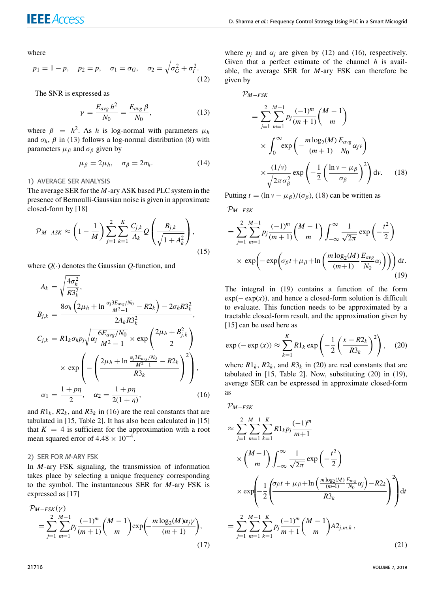where

$$
p_1 = 1 - p
$$
,  $p_2 = p$ ,  $\sigma_1 = \sigma_G$ ,  $\sigma_2 = \sqrt{\sigma_G^2 + \sigma_I^2}$ . (12)

The SNR is expressed as

$$
\gamma = \frac{E_{avg}h^2}{N_0} = \frac{E_{avg}\beta}{N_0},\qquad(13)
$$

where  $\beta = h^2$ . As *h* is log-normal with parameters  $\mu_h$ and  $\sigma_h$ ,  $\beta$  in (13) follows a log-normal distribution (8) with parameters  $\mu_{\beta}$  and  $\sigma_{\beta}$  given by

$$
\mu_{\beta} = 2\mu_h, \quad \sigma_{\beta} = 2\sigma_h. \tag{14}
$$

#### 1) AVERAGE SER ANALYSIS

The average SER for the *M*-ary ASK based PLC system in the presence of Bernoulli-Gaussian noise is given in approximate closed-form by [18]

$$
\mathcal{P}_{M-ASK} \approx \left(1 - \frac{1}{M}\right) \sum_{j=1}^{2} \sum_{k=1}^{K} \frac{C_{j,k}}{A_k} Q\left(\frac{B_{j,k}}{\sqrt{1 + A_k^2}}\right),\tag{15}
$$

where  $Q(\cdot)$  denotes the Gaussian  $Q$ -function, and

$$
A_{k} = \sqrt{\frac{4\sigma_{h}^{2}}{R3_{k}^{2}}},
$$
\n
$$
B_{j,k} = \frac{8\sigma_{h}\left(2\mu_{h} + \ln\frac{\alpha_{j}3E_{avg}/N_{0}}{M^{2}-1} - R2_{k}\right) - 2\sigma_{h}R3_{k}^{2}}{2A_{k}R3_{k}^{2}},
$$
\n
$$
C_{j,k} = R1_{k}\sigma_{h}p_{j}\sqrt{\alpha_{j}\frac{6E_{avg}/N_{0}}{M^{2}-1}} \times \exp\left(\frac{2\mu_{h} + B_{j,k}^{2}}{2}\right)
$$
\n
$$
\times \exp\left(-\left(\frac{2\mu_{h} + \ln\frac{\alpha_{j}3E_{avg}/N_{0}}{M^{2}-1} - R2_{k}}{R3_{k}}\right)^{2}\right),
$$
\n
$$
\alpha_{1} = \frac{1+p\eta}{2}, \quad \alpha_{2} = \frac{1+p\eta}{2(1+\eta)}, \quad (16)
$$

and  $R1_k$ ,  $R2_k$ , and  $R3_k$  in (16) are the real constants that are tabulated in [15, Table 2]. It has also been calculated in [15] that  $K = 4$  is sufficient for the approximation with a root mean squared error of  $4.48 \times 10^{-4}$ .

#### 2) SER FOR *M*-ARY FSK

In *M*-ary FSK signaling, the transmission of information takes place by selecting a unique frequency corresponding to the symbol. The instantaneous SER for *M*-ary FSK is expressed as [17]

$$
\mathcal{P}_{M-FSK}(\gamma) = \sum_{j=1}^{2} \sum_{m=1}^{M-1} p_j \frac{(-1)^m}{(m+1)} {M-1 \choose m} \exp\left(-\frac{m \log_2(M)\alpha_j \gamma}{(m+1)}\right),\tag{17}
$$

where  $p_j$  and  $\alpha_j$  are given by (12) and (16), respectively. Given that a perfect estimate of the channel *h* is available, the average SER for *M*-ary FSK can therefore be given by

$$
\mathcal{P}_{M-FSK} = \sum_{j=1}^{2} \sum_{m=1}^{M-1} p_j \frac{(-1)^m}{(m+1)} {M-1 \choose m}
$$

$$
\times \int_0^\infty \exp\left(-\frac{m \log_2(M)}{(m+1)} \frac{E_{avg}}{N_0} \alpha_j v\right)
$$

$$
\times \frac{(1/v)}{\sqrt{2\pi \sigma_\beta^2}} \exp\left(-\frac{1}{2} \left(\frac{\ln v - \mu_\beta}{\sigma_\beta}\right)^2\right) dv. \quad (18)
$$

Putting  $t = \frac{\ln v - \mu_B}{\sigma_B}$ , (18) can be written as

$$
\mathcal{P}_{M-FSK}
$$

$$
= \sum_{j=1}^{2} \sum_{m=1}^{M-1} p_j \frac{(-1)^m}{(m+1)} {M-1 \choose m} \int_{-\infty}^{\infty} \frac{1}{\sqrt{2\pi}} \exp\left(-\frac{t^2}{2}\right)
$$
  
 
$$
\times \exp\left(-\exp\left(\sigma_\beta t + \mu_\beta + \ln\left(\frac{m \log_2(M)}{(m+1)} \frac{E_{avg}}{N_0} \alpha_j\right)\right)\right) dt.
$$
 (19)

The integral in (19) contains a function of the form  $exp(-exp(x))$ , and hence a closed-form solution is difficult to evaluate. This function needs to be approximated by a tractable closed-form result, and the approximation given by [15] can be used here as

$$
\exp\left(-\exp\left(x\right)\right) \approx \sum_{k=1}^{K} R1_k \exp\left(-\frac{1}{2}\left(\frac{x - R2_k}{R3_k}\right)^2\right), \quad (20)
$$

where  $R1_k$ ,  $R2_k$ , and  $R3_k$  in (20) are real constants that are tabulated in [15, Table 2]. Now, substituting (20) in (19), average SER can be expressed in approximate closed-form as

$$
\mathcal{P}_{M-FSK}
$$

$$
\approx \sum_{j=1}^{2} \sum_{m=1}^{M-1} \sum_{k=1}^{K} R1_k p_j \frac{(-1)^m}{m+1}
$$
  
\n
$$
\times {M-1 \choose m} \int_{-\infty}^{\infty} \frac{1}{\sqrt{2\pi}} \exp\left(-\frac{t^2}{2}\right)
$$
  
\n
$$
\times \exp\left(-\frac{1}{2} \left(\frac{\sigma_{\beta} t + \mu_{\beta} + \ln\left(\frac{m \log_2(M)}{(m+1)} \frac{E_{avg}}{N_0} \alpha_j\right) - R2_k}{R3_k}\right)^2\right) dt
$$
  
\n
$$
= \sum_{j=1}^{2} \sum_{m=1}^{M-1} \sum_{k=1}^{K} p_j \frac{(-1)^m}{m+1} {M-1 \choose m} A2_{j,m,k}, \qquad (21)
$$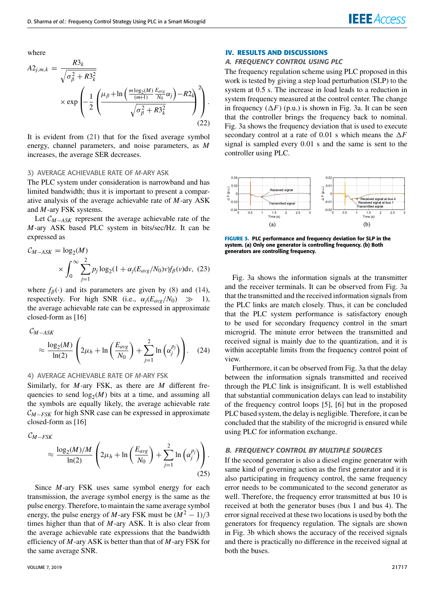where

$$
A2_{j,m,k} = \frac{R3_k}{\sqrt{\sigma_{\beta}^2 + R3_k^2}}\n\times \exp\left(-\frac{1}{2}\left(\frac{\mu_{\beta} + \ln\left(\frac{m\log_2(M)}{(m+1)}\frac{E_{avg}}{N_0}\alpha_j\right) - R2_k}{\sqrt{\sigma_{\beta}^2 + R3_k^2}}\right)\right).\n\tag{22}
$$

It is evident from (21) that for the fixed average symbol energy, channel parameters, and noise parameters, as *M* increases, the average SER decreases.

#### 3) AVERAGE ACHIEVABLE RATE OF *M*-ARY ASK

The PLC system under consideration is narrowband and has limited bandwidth; thus it is important to present a comparative analysis of the average achievable rate of *M*-ary ASK and *M*-ary FSK systems.

Let <sup>C</sup>*M*−*ASK* represent the average achievable rate of the *M*-ary ASK based PLC system in bits/sec/Hz. It can be expressed as

$$
C_{M-ASK} = \log_2(M)
$$
  
 
$$
\times \int_0^\infty \sum_{j=1}^2 p_j \log_2(1 + \alpha_j (E_{avg}/N_0)v) f_\beta(v) dv, (23)
$$

where  $f_\beta(\cdot)$  and its parameters are given by (8) and (14), respectively. For high SNR (i.e.,  $\alpha_i(E_{ave}/N_0) \gg 1$ ), respectively. For high SNR (i.e.,  $\alpha_j(E_{avg}/N_0) \gg$ the average achievable rate can be expressed in approximate closed-form as [16]

$$
C_{M-ASK} \approx \frac{\log_2(M)}{\ln(2)} \left( 2\mu_h + \ln\left(\frac{E_{avg}}{N_0}\right) + \sum_{j=1}^2 \ln\left(\alpha_j^{p_j}\right) \right). \quad (24)
$$

#### 4) AVERAGE ACHIEVABLE RATE OF *M*-ARY FSK

Similarly, for *M*-ary FSK, as there are *M* different frequencies to send  $log_2(M)$  bits at a time, and assuming all the symbols are equally likely, the average achievable rate <sup>C</sup>*M*−*FSK* for high SNR case can be expressed in approximate closed-form as [16]

<sup>C</sup>*M*−*FSK*

$$
\approx \frac{\log_2(M)/M}{\ln(2)} \left( 2\mu_h + \ln\left(\frac{E_{avg}}{N_0}\right) + \sum_{j=1}^2 \ln\left(\alpha_j^{p_j}\right) \right). \tag{25}
$$

Since *M*-ary FSK uses same symbol energy for each transmission, the average symbol energy is the same as the pulse energy. Therefore, to maintain the same average symbol energy, the pulse energy of *M*-ary FSK must be  $(M^2 - 1)/3$ times higher than that of *M*-ary ASK. It is also clear from the average achievable rate expressions that the bandwidth efficiency of *M*-ary ASK is better than that of *M*-ary FSK for the same average SNR.

#### VOLUME 7, 2019 21717

#### **IV. RESULTS AND DISCUSSIONS**

#### *A. FREQUENCY CONTROL USING PLC*

The frequency regulation scheme using PLC proposed in this work is tested by giving a step load perturbation (SLP) to the system at 0.5 s. The increase in load leads to a reduction in system frequency measured at the control center. The change in frequency  $(\Delta F)$  (p.u.) is shown in Fig. 3a. It can be seen that the controller brings the frequency back to nominal. Fig. 3a shows the frequency deviation that is used to execute secondary control at a rate of 0.01 s which means the  $\Delta F$ signal is sampled every 0.01 s and the same is sent to the controller using PLC.



**FIGURE 3.** PLC performance and frequency deviation for SLP in the system. (a) Only one generator is controlling frequency. (b) Both generators are controlling frequency.

Fig. 3a shows the information signals at the transmitter and the receiver terminals. It can be observed from Fig. 3a that the transmitted and the received information signals from the PLC links are match closely. Thus, it can be concluded that the PLC system performance is satisfactory enough to be used for secondary frequency control in the smart microgrid. The minute error between the transmitted and received signal is mainly due to the quantization, and it is within acceptable limits from the frequency control point of view.

Furthermore, it can be observed from Fig. 3a that the delay between the information signals transmitted and received through the PLC link is insignificant. It is well established that substantial communication delays can lead to instability of the frequency control loops [5], [6] but in the proposed PLC based system, the delay is negligible. Therefore, it can be concluded that the stability of the microgrid is ensured while using PLC for information exchange.

#### *B. FREQUENCY CONTROL BY MULTIPLE SOURCES*

If the second generator is also a diesel engine generator with same kind of governing action as the first generator and it is also participating in frequency control, the same frequency error needs to be communicated to the second generator as well. Therefore, the frequency error transmitted at bus 10 is received at both the generator buses (bus 1 and bus 4). The error signal received at these two locations is used by both the generators for frequency regulation. The signals are shown in Fig. 3b which shows the accuracy of the received signals and there is practically no difference in the received signal at both the buses.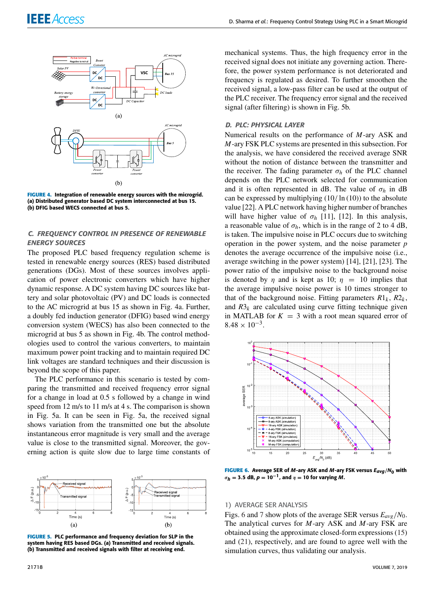

**FIGURE 4.** Integration of renewable energy sources with the microgrid. (a) Distributed generator based DC system interconnected at bus 15. (b) DFIG based WECS connected at bus 5.

#### *C. FREQUENCY CONTROL IN PRESENCE OF RENEWABLE ENERGY SOURCES*

The proposed PLC based frequency regulation scheme is tested in renewable energy sources (RES) based distributed generations (DGs). Most of these sources involves application of power electronic converters which have higher dynamic response. A DC system having DC sources like battery and solar photovoltaic (PV) and DC loads is connected to the AC microgrid at bus 15 as shown in Fig. 4a. Further, a doubly fed induction generator (DFIG) based wind energy conversion system (WECS) has also been connected to the microgrid at bus 5 as shown in Fig. 4b. The control methodologies used to control the various converters, to maintain maximum power point tracking and to maintain required DC link voltages are standard techniques and their discussion is beyond the scope of this paper.

The PLC performance in this scenario is tested by comparing the transmitted and received frequency error signal for a change in load at 0.5 s followed by a change in wind speed from 12 m/s to 11 m/s at 4 s. The comparison is shown in Fig. 5a. It can be seen in Fig. 5a, the received signal shows variation from the transmitted one but the absolute instantaneous error magnitude is very small and the average value is close to the transmitted signal. Moreover, the governing action is quite slow due to large time constants of



**FIGURE 5.** PLC performance and frequency deviation for SLP in the system having RES based DGs. (a) Transmitted and received signals. (b) Transmitted and received signals with filter at receiving end.

mechanical systems. Thus, the high frequency error in the received signal does not initiate any governing action. Therefore, the power system performance is not deteriorated and frequency is regulated as desired. To further smoothen the received signal, a low-pass filter can be used at the output of the PLC receiver. The frequency error signal and the received signal (after filtering) is shown in Fig. 5b.

### *D. PLC: PHYSICAL LAYER*

Numerical results on the performance of *M*-ary ASK and *M*-ary FSK PLC systems are presented in this subsection. For the analysis, we have considered the received average SNR without the notion of distance between the transmitter and the receiver. The fading parameter  $\sigma_h$  of the PLC channel depends on the PLC network selected for communication and it is often represented in dB. The value of  $\sigma_h$  in dB can be expressed by multiplying  $(10/ \ln(10))$  to the absolute value [22]. A PLC network having higher number of branches will have higher value of  $\sigma_h$  [11], [12]. In this analysis, a reasonable value of  $\sigma_h$ , which is in the range of 2 to 4 dB, is taken. The impulsive noise in PLC occurs due to switching operation in the power system, and the noise parameter *p* denotes the average occurrence of the impulsive noise (i.e., average switching in the power system) [14], [21], [23]. The power ratio of the impulsive noise to the background noise is denoted by  $\eta$  and is kept as 10;  $\eta$  = 10 implies that the average impulsive noise power is 10 times stronger to that of the background noise. Fitting parameters  $R1_k$ ,  $R2_k$ , and  $R3_k$  are calculated using curve fitting technique given in MATLAB for  $K = 3$  with a root mean squared error of  $8.48 \times 10^{-3}$ .



**FIGURE 6.** Average SER of *<sup>M</sup>*-ary ASK and *<sup>M</sup>*-ary FSK versus *<sup>E</sup>avg*/*N*<sup>0</sup> with  $σ<sub>h</sub> = 3.5$  dB,  $p = 10<sup>-1</sup>$ , and  $η = 10$  for varying *M*.

#### 1) AVERAGE SER ANALYSIS

Figs. 6 and 7 show plots of the average SER versus *Eavg*/*N*0. The analytical curves for *M*-ary ASK and *M*-ary FSK are obtained using the approximate closed-form expressions (15) and (21), respectively, and are found to agree well with the simulation curves, thus validating our analysis.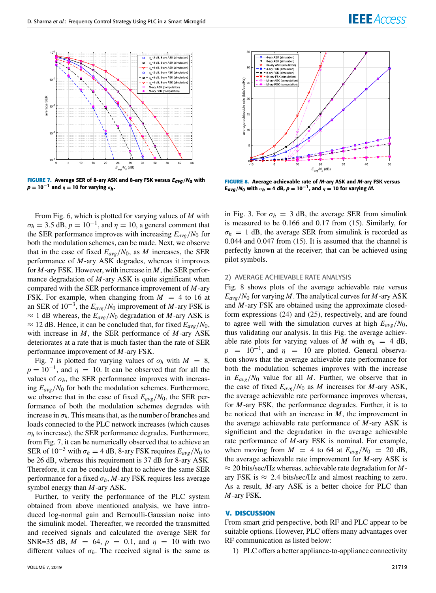

**FIGURE 7.** Average SER of 8-ary ASK and 8-ary FSK versus *<sup>E</sup>avg*/*N*<sup>0</sup> with  $p = 10^{-1}$  and  $\eta = 10$  for varying  $\sigma_h$ .

From Fig. 6, which is plotted for varying values of *M* with  $\sigma_h = 3.5 \text{ dB}, p = 10^{-1}$ , and  $\eta = 10$ , a general comment that the SER performance improves with increasing  $E_{\alpha\nu\rho}/N_0$  for both the modulation schemes, can be made. Next, we observe that in the case of fixed  $E_{avg}/N_0$ , as *M* increases, the SER performance of *M*-ary ASK degrades, whereas it improves for *M*-ary FSK. However, with increase in *M*, the SER performance degradation of *M*-ary ASK is quite significant when compared with the SER performance improvement of *M*-ary FSK. For example, when changing from  $M = 4$  to 16 at an SER of 10−<sup>3</sup> , the *Eavg*/*N*<sup>0</sup> improvement of *M*-ary FSK is  $\approx$  1 dB whereas, the  $E_{avg}/N_0$  degradation of *M*-ary ASK is  $\approx$  12 dB. Hence, it can be concluded that, for fixed  $E_{avg}/N_0$ , with increase in *M*, the SER performance of *M*-ary ASK deteriorates at a rate that is much faster than the rate of SER performance improvement of *M*-ary FSK.

Fig. 7 is plotted for varying values of  $\sigma_h$  with  $M = 8$ ,  $p = 10^{-1}$ , and  $\eta = 10$ . It can be observed that for all the values of  $\sigma_h$ , the SER performance improves with increasing  $E_{\text{ave}}/N_0$  for both the modulation schemes. Furthermore, we observe that in the case of fixed  $E_{avg}/N_0$ , the SER performance of both the modulation schemes degrades with increase in  $\sigma_h$ . This means that, as the number of branches and loads connected to the PLC network increases (which causes  $\sigma_h$  to increase), the SER performance degrades. Furthermore, from Fig. 7, it can be numerically observed that to achieve an SER of  $10^{-3}$  with  $\sigma_h = 4$  dB, 8-ary FSK requires  $E_{avg}/N_0$  to be 26 dB, whereas this requirement is 37 dB for 8-ary ASK. Therefore, it can be concluded that to achieve the same SER performance for a fixed  $\sigma_h$ , *M*-ary FSK requires less average symbol energy than *M*-ary ASK.

Further, to verify the performance of the PLC system obtained from above mentioned analysis, we have introduced log-normal gain and Bernoulli-Gaussian noise into the simulink model. Thereafter, we recorded the transmitted and received signals and calculated the average SER for SNR=35 dB,  $M = 64$ ,  $p = 0.1$ , and  $\eta = 10$  with two different values of  $\sigma_h$ . The received signal is the same as



**IEEE** Access

**FIGURE 8.** Average achievable rate of *M*-ary ASK and *M*-ary FSK versus  $E_{avg}/N_0$  with  $\sigma_h = 4$  dB,  $p = 10^{-1}$ , and  $\eta = 10$  for varying *M*.

 $/N_{n}$  (dB)

in Fig. 3. For  $\sigma_h = 3$  dB, the average SER from simulink is measured to be 0.166 and 0.17 from (15). Similarly, for  $\sigma_h$  = 1 dB, the average SER from simulink is recorded as 0.044 and 0.047 from (15). It is assumed that the channel is perfectly known at the receiver; that can be achieved using pilot symbols.

#### 2) AVERAGE ACHIEVABLE RATE ANALYSIS

Fig. 8 shows plots of the average achievable rate versus  $E_{avg}/N_0$  for varying *M*. The analytical curves for *M*-ary ASK and *M*-ary FSK are obtained using the approximate closedform expressions (24) and (25), respectively, and are found to agree well with the simulation curves at high  $E_{\alpha\nu\rho}/N_0$ , thus validating our analysis. In this Fig. the average achievable rate plots for varying values of *M* with  $\sigma_h = 4$  dB,  $p = 10^{-1}$ , and  $\eta = 10$  are plotted. General observation shows that the average achievable rate performance for both the modulation schemes improves with the increase in *Eavg*/*N*<sup>0</sup> value for all *M*. Further, we observe that in the case of fixed  $E_{avg}/N_0$  as *M* increases for *M*-ary ASK, the average achievable rate performance improves whereas, for *M*-ary FSK, the performance degrades. Further, it is to be noticed that with an increase in *M*, the improvement in the average achievable rate performance of *M*-ary ASK is significant and the degradation in the average achievable rate performance of *M*-ary FSK is nominal. For example, when moving from  $M = 4$  to 64 at  $E_{avg}/N_0 = 20$  dB, the average achievable rate improvement for *M*-ary ASK is ≈ 20 bits/sec/Hz whereas, achievable rate degradation for *M*ary FSK is  $\approx 2.4$  bits/sec/Hz and almost reaching to zero. As a result, *M*-ary ASK is a better choice for PLC than *M*-ary FSK.

#### **V. DISCUSSION**

From smart grid perspective, both RF and PLC appear to be suitable options. However, PLC offers many advantages over RF communication as listed below:

1) PLC offers a better appliance-to-appliance connectivity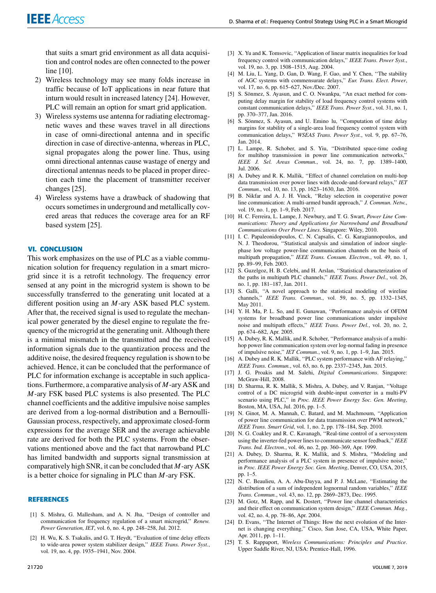that suits a smart grid environment as all data acquisition and control nodes are often connected to the power line [10].

- 2) Wireless technology may see many folds increase in traffic because of IoT applications in near future that inturn would result in increased latency [24]. However, PLC will remain an option for smart grid application.
- 3) Wireless systems use antenna for radiating electromagnetic waves and these waves travel in all directions in case of omni-directional antenna and in specific direction in case of directive-antenna, whereas in PLC, signal propagates along the power line. Thus, using omni directional antennas cause wastage of energy and directional antennas needs to be placed in proper direction each time the placement of transmitter receiver changes [25].
- 4) Wireless systems have a drawback of shadowing that occurs sometimes in underground and metallically covered areas that reduces the coverage area for an RF based system [25].

#### **VI. CONCLUSION**

This work emphasizes on the use of PLC as a viable communication solution for frequency regulation in a smart microgrid since it is a retrofit technology. The frequency error sensed at any point in the microgrid system is shown to be successfully transferred to the generating unit located at a different position using an *M*-ary ASK based PLC system. After that, the received signal is used to regulate the mechanical power generated by the diesel engine to regulate the frequency of the microgrid at the generating unit. Although there is a minimal mismatch in the transmitted and the received information signals due to the quantization process and the additive noise, the desired frequency regulation is shown to be achieved. Hence, it can be concluded that the performance of PLC for information exchange is acceptable in such applications. Furthermore, a comparative analysis of *M*-ary ASK and *M*-ary FSK based PLC systems is also presented. The PLC channel coefficients and the additive impulsive noise samples are derived from a log-normal distribution and a Bernoulli-Gaussian process, respectively, and approximate closed-form expressions for the average SER and the average achievable rate are derived for both the PLC systems. From the observations mentioned above and the fact that narrowband PLC has limited bandwidth and supports signal transmission at comparatively high SNR, it can be concluded that *M*-ary ASK is a better choice for signaling in PLC than *M*-ary FSK.

#### **REFERENCES**

- [1] S. Mishra, G. Mallesham, and A. N. Jha, "Design of controller and communication for frequency regulation of a smart microgrid,'' *Renew. Power Generation, IET*, vol. 6, no. 4, pp. 248–258, Jul. 2012.
- [2] H. Wu, K. S. Tsakalis, and G. T. Heydt, "Evaluation of time delay effects to wide-area power system stabilizer design,'' *IEEE Trans. Power Syst.*, vol. 19, no. 4, pp. 1935–1941, Nov. 2004.
- [3] X. Yu and K. Tomsovic, ''Application of linear matrix inequalities for load frequency control with communication delays,'' *IEEE Trans. Power Syst.*, vol. 19, no. 3, pp. 1508–1515, Aug. 2004.
- [4] M. Liu, L. Yang, D. Gan, D. Wang, F. Gao, and Y. Chen, "The stability of AGC systems with commensurate delays,'' *Eur. Trans. Elect. Power*, vol. 17, no. 6, pp. 615–627, Nov./Dec. 2007.
- [5] S. Sönmez, S. Ayasun, and C. O. Nwankpa, ''An exact method for computing delay margin for stability of load frequency control systems with constant communication delays,'' *IEEE Trans. Power Syst.*, vol. 31, no. 1, pp. 370–377, Jan. 2016.
- [6] S. Sönmez, S. Ayasun, and U. Emino lu, "Computation of time delay margins for stability of a single-area load frequency control system with communication delays,'' *WSEAS Trans. Power Syst.*, vol. 9, pp. 67–76, Jan. 2014.
- [7] L. Lampe, R. Schober, and S. Yiu, ''Distributed space-time coding for multihop transmission in power line communication networks,'' *IEEE J. Sel. Areas Commun.*, vol. 24, no. 7, pp. 1389–1400, Jul. 2006.
- [8] A. Dubey and R. K. Mallik, ''Effect of channel correlation on multi-hop data transmission over power lines with decode-and-forward relays,'' *IET Commun.*, vol. 10, no. 13, pp. 1623–1630, Jan. 2016.
- [9] B. Nikfar and A. J. H. Vinck, ''Relay selection in cooperative power line communication: A multi-armed bandit approach,'' *J. Commun. Netw.*, vol. 19, no. 1, pp. 1–9, Feb. 2017.
- [10] H. C. Ferreira, L. Lampe, J. Newbury, and T. G. Swart, *Power Line Communications: Theory and Applications for Narrowband and Broadband Communications Over Power Lines*. Singapore: Wiley, 2010.
- [11] I. C. Papaleonidopoulos, C. N. Capsalis, C. G. Karagiannopoulos, and N. J. Theodorou, ''Statistical analysis and simulation of indoor singlephase low voltage power-line communication channels on the basis of multipath propagation,'' *IEEE Trans. Consum. Electron.*, vol. 49, no. 1, pp. 89–99, Feb. 2003.
- [12] S. Guzelgoz, H. B. Celebi, and H. Arslan, "Statistical characterization of the paths in multipath PLC channels,'' *IEEE Trans. Power Del.*, vol. 26, no. 1, pp. 181–187, Jan. 2011.
- [13] S. Galli, ''A novel approach to the statistical modeling of wireline channels,'' *IEEE Trans. Commun.*, vol. 59, no. 5, pp. 1332–1345, May 2011.
- [14] Y. H. Ma, P. L. So, and E. Gunawan, ''Performance analysis of OFDM systems for broadband power line communications under impulsive noise and multipath effects,'' *IEEE Trans. Power Del.*, vol. 20, no. 2, pp. 674–682, Apr. 2005.
- [15] A. Dubey, R. K. Mallik, and R. Schober, ''Performance analysis of a multihop power line communication system over log-normal fading in presence of impulsive noise,'' *IET Commun.*, vol. 9, no. 1, pp. 1–9, Jan. 2015.
- [16] A. Dubey and R. K. Mallik, ''PLC system performance with AF relaying,'' *IEEE Trans. Commun.*, vol. 63, no. 6, pp. 2337–2345, Jun. 2015.
- [17] J. G. Proakis and M. Salehi, *Digital Communications*. Singapore: McGraw-Hill, 2008.
- [18] D. Sharma, R. K. Mallik, S. Mishra, A. Dubey, and V. Ranjan, ''Voltage control of a DC microgrid with double-input converter in a multi-PV scenario using PLC,'' in *Proc. IEEE Power Energy Soc. Gen. Meeting*, Boston, MA, USA, Jul. 2016, pp. 1–5.
- [19] N. Ginot, M. A. Mannah, C. Batard, and M. Machmoum, "Application of power line communication for data transmission over PWM network,'' *IEEE Trans. Smart Grid*, vol. 1, no. 2, pp. 178–184, Sep. 2010.
- [20] N. G. Coakley and R. C. Kavanagh, "Real-time control of a servosystem using the inverter-fed power lines to communicate sensor feedback,'' *IEEE Trans. Ind. Electron.*, vol. 46, no. 2, pp. 360–369, Apr. 1999.
- [21] A. Dubey, D. Sharma, R. K. Mallik, and S. Mishra, ''Modeling and performance analysis of a PLC system in presence of impulsive noise,'' in *Proc. IEEE Power Energy Soc. Gen. Meeting*, Denver, CO, USA, 2015, pp. 1–5.
- [22] N. C. Beaulieu, A. A. Abu-Dayya, and P. J. McLane, ''Estimating the distribution of a sum of independent lognormal random variables,'' *IEEE Trans. Commun.*, vol. 43, no. 12, pp. 2869–2873, Dec. 1995.
- [23] M. Gotz, M. Rapp, and K. Dostert, "Power line channel characteristics and their effect on communication system design,'' *IEEE Commun. Mag.*, vol. 42, no. 4, pp. 78–86, Apr. 2004.
- [24] D. Evans, "The Internet of Things: How the next evolution of the Internet is changing everything,'' Cisco, San Jose, CA, USA, White Paper, Apr. 2011, pp. 1–11.
- [25] T. S. Rappaport, *Wireless Communications: Principles and Practice*. Upper Saddle River, NJ, USA: Prentice-Hall, 1996.